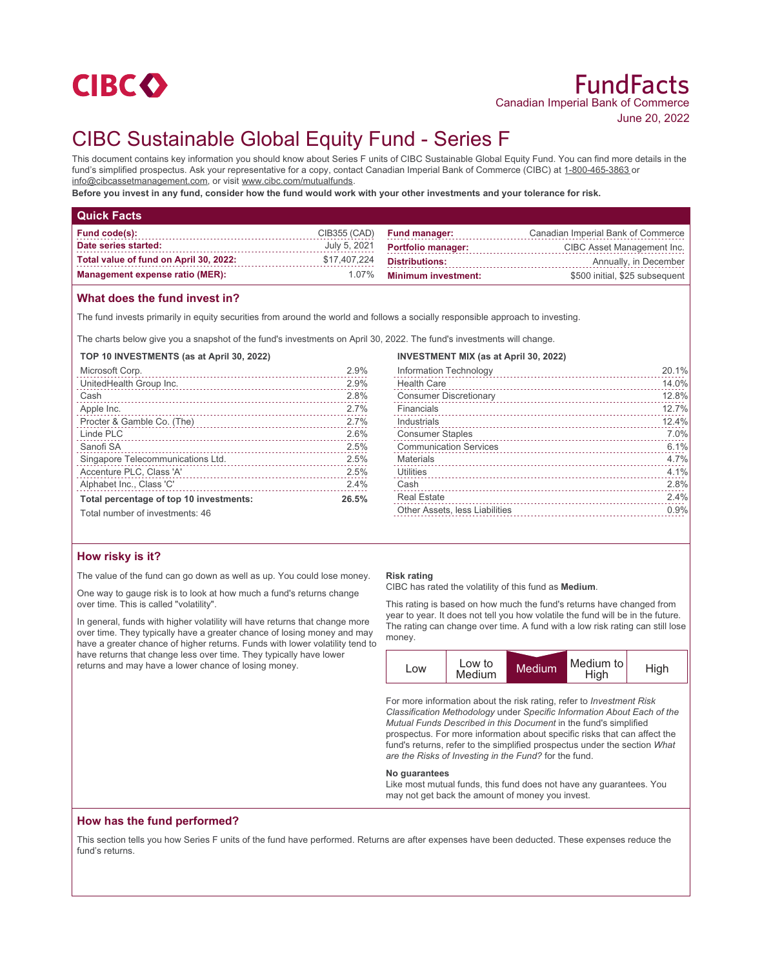

# CIBC Sustainable Global Equity Fund - Series F

This document contains key information you should know about Series F units of CIBC Sustainable Global Equity Fund. You can find more details in the fund's simplified prospectus. Ask your representative for a copy, contact Canadian Imperial Bank of Commerce (CIBC) at 1-800-465-3863 or info@cibcassetmanagement.com, or visit www.cibc.com/mutualfunds.

**Before you invest in any fund, consider how the fund would work with your other investments and your tolerance for risk.**

| <b>Quick Facts</b>                     |              |                            |                                    |
|----------------------------------------|--------------|----------------------------|------------------------------------|
| Fund code(s):                          | CIB355 (CAD) | <b>Fund manager:</b>       | Canadian Imperial Bank of Commerce |
| Date series started:                   | July 5, 2021 | <b>Portfolio manager:</b>  | CIBC Asset Management Inc.         |
| Total value of fund on April 30, 2022: | \$17,407,224 | <b>Distributions:</b>      | Annually, in December              |
| <b>Management expense ratio (MER):</b> | 1.07%        | <b>Minimum investment:</b> | \$500 initial, \$25 subsequent     |

# **What does the fund invest in?**

The fund invests primarily in equity securities from around the world and follows a socially responsible approach to investing.

The charts below give you a snapshot of the fund's investments on April 30, 2022. The fund's investments will change.

#### **TOP 10 INVESTMENTS (as at April 30, 2022)**

| Microsoft Corp.                         | 2.9%  |
|-----------------------------------------|-------|
| UnitedHealth Group Inc.                 | 2.9%  |
| Cash                                    | 2.8%  |
| Apple Inc.                              | 2.7%  |
|                                         | 2.7%  |
| Linde PLC                               | 2.6%  |
| Sanofi SA                               | 2.5%  |
| Singapore Telecommunications Ltd.       | 2.5%  |
| Accenture PLC, Class 'A'                | 2.5%  |
| Alphabet Inc., Class 'C'                | 2.4%  |
| Total percentage of top 10 investments: | 26.5% |
| Total number of investments: 46         |       |

## **INVESTMENT MIX (as at April 30, 2022)**

| Information Technology         | 20.1% |
|--------------------------------|-------|
| <b>Health Care</b>             | 14.0% |
| <b>Consumer Discretionary</b>  | 12.8% |
| Financials                     | 12.7% |
| Industrials                    | 12.4% |
| <b>Consumer Staples</b>        | 7.0%  |
| <b>Communication Services</b>  | 6.1%  |
| Materials                      | 4.7%  |
| Utilities                      | 4.1%  |
| Cash                           | 2.8%  |
| <b>Real Estate</b>             | 2.4%  |
| Other Assets, less Liabilities | 0.9%  |
|                                |       |

# **How risky is it?**

The value of the fund can go down as well as up. You could lose money.

One way to gauge risk is to look at how much a fund's returns change over time. This is called "volatility".

In general, funds with higher volatility will have returns that change more over time. They typically have a greater chance of losing money and may have a greater chance of higher returns. Funds with lower volatility tend to have returns that change less over time. They typically have lower returns and may have a lower chance of losing money.

#### **Risk rating**

CIBC has rated the volatility of this fund as **Medium**.

This rating is based on how much the fund's returns have changed from year to year. It does not tell you how volatile the fund will be in the future. The rating can change over time. A fund with a low risk rating can still lose money.



For more information about the risk rating, refer to *Investment Risk Classification Methodology* under *Specific Information About Each of the Mutual Funds Described in this Document* in the fund's simplified prospectus. For more information about specific risks that can affect the fund's returns, refer to the simplified prospectus under the section *What are the Risks of Investing in the Fund?* for the fund.

#### **No guarantees**

Like most mutual funds, this fund does not have any guarantees. You may not get back the amount of money you invest.

# **How has the fund performed?**

This section tells you how Series F units of the fund have performed. Returns are after expenses have been deducted. These expenses reduce the fund's returns.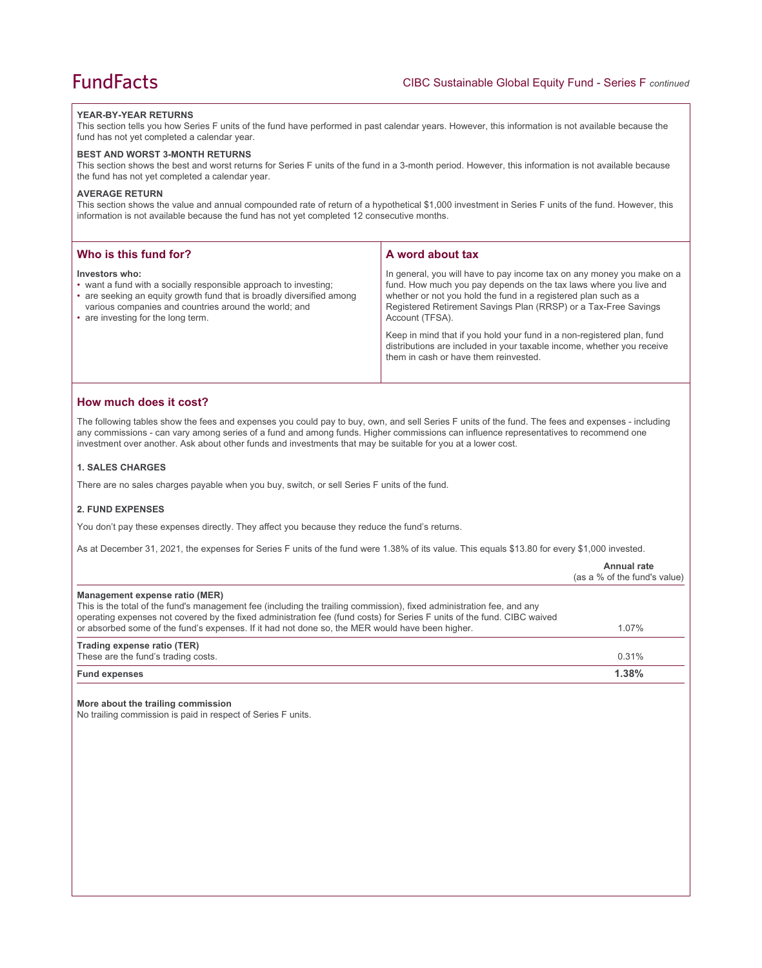#### **YEAR-BY-YEAR RETURNS**

This section tells you how Series F units of the fund have performed in past calendar years. However, this information is not available because the fund has not yet completed a calendar year.

#### **BEST AND WORST 3-MONTH RETURNS**

This section shows the best and worst returns for Series F units of the fund in a 3-month period. However, this information is not available because the fund has not yet completed a calendar year.

## **AVERAGE RETURN**

This section shows the value and annual compounded rate of return of a hypothetical \$1,000 investment in Series F units of the fund. However, this information is not available because the fund has not yet completed 12 consecutive months.

| Who is this fund for?                                                                                                                                                                                                                                      | A word about tax                                                                                                                                                                                                                                                                                                                                                                                                                                                                                  |
|------------------------------------------------------------------------------------------------------------------------------------------------------------------------------------------------------------------------------------------------------------|---------------------------------------------------------------------------------------------------------------------------------------------------------------------------------------------------------------------------------------------------------------------------------------------------------------------------------------------------------------------------------------------------------------------------------------------------------------------------------------------------|
| Investors who:<br>• want a fund with a socially responsible approach to investing;<br>• are seeking an equity growth fund that is broadly diversified among<br>various companies and countries around the world; and<br>• are investing for the long term. | In general, you will have to pay income tax on any money you make on a<br>fund. How much you pay depends on the tax laws where you live and<br>whether or not you hold the fund in a registered plan such as a<br>Registered Retirement Savings Plan (RRSP) or a Tax-Free Savings<br>Account (TFSA).<br>Keep in mind that if you hold your fund in a non-registered plan, fund<br>distributions are included in your taxable income, whether you receive<br>them in cash or have them reinvested. |
|                                                                                                                                                                                                                                                            |                                                                                                                                                                                                                                                                                                                                                                                                                                                                                                   |

# **How much does it cost?**

The following tables show the fees and expenses you could pay to buy, own, and sell Series F units of the fund. The fees and expenses - including any commissions - can vary among series of a fund and among funds. Higher commissions can influence representatives to recommend one investment over another. Ask about other funds and investments that may be suitable for you at a lower cost.

#### **1. SALES CHARGES**

There are no sales charges payable when you buy, switch, or sell Series F units of the fund.

# **2. FUND EXPENSES**

You don't pay these expenses directly. They affect you because they reduce the fund's returns.

As at December 31, 2021, the expenses for Series F units of the fund were 1.38% of its value. This equals \$13.80 for every \$1,000 invested.

|                                                                                                                                                                                                                                                  | Annual rate<br>(as a % of the fund's value) |
|--------------------------------------------------------------------------------------------------------------------------------------------------------------------------------------------------------------------------------------------------|---------------------------------------------|
| Management expense ratio (MER)                                                                                                                                                                                                                   |                                             |
| This is the total of the fund's management fee (including the trailing commission), fixed administration fee, and any<br>operating expenses not covered by the fixed administration fee (fund costs) for Series F units of the fund. CIBC waived |                                             |
| or absorbed some of the fund's expenses. If it had not done so, the MER would have been higher.                                                                                                                                                  | $1.07\%$                                    |
| Trading expense ratio (TER)                                                                                                                                                                                                                      |                                             |
| These are the fund's trading costs.                                                                                                                                                                                                              | 0.31%                                       |
| <b>Fund expenses</b>                                                                                                                                                                                                                             | 1.38%                                       |

#### **More about the trailing commission**

No trailing commission is paid in respect of Series F units.